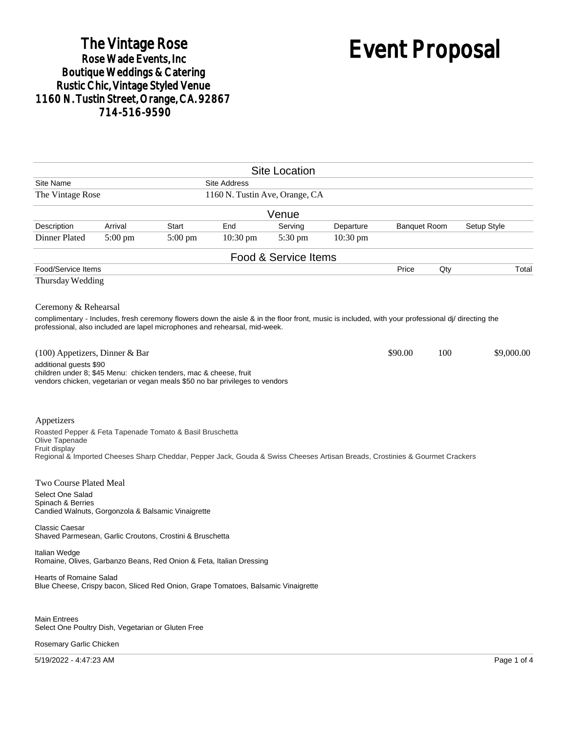## The Vintage Rose<br>Rose Wade Events, Inc Boutique Weddings & Catering<br>Rustic Chic, Vintage Styled Venue 1160 N. Tustin Street, Orange, CA. 92867 714-516-9590

# Event Proposal

| <b>Site Location</b>                                                                                                                                                                                                                                    |         |              |                                |                      |           |                     |     |             |
|---------------------------------------------------------------------------------------------------------------------------------------------------------------------------------------------------------------------------------------------------------|---------|--------------|--------------------------------|----------------------|-----------|---------------------|-----|-------------|
| Site Name                                                                                                                                                                                                                                               |         |              | <b>Site Address</b>            |                      |           |                     |     |             |
| The Vintage Rose                                                                                                                                                                                                                                        |         |              | 1160 N. Tustin Ave, Orange, CA |                      |           |                     |     |             |
|                                                                                                                                                                                                                                                         |         |              |                                | Venue                |           |                     |     |             |
| Description                                                                                                                                                                                                                                             | Arrival | <b>Start</b> | End                            | Serving              | Departure | <b>Banquet Room</b> |     | Setup Style |
| Dinner Plated                                                                                                                                                                                                                                           | 5:00 pm | 5:00 pm      | 10:30 pm                       | $5:30 \text{ pm}$    | 10:30 pm  |                     |     |             |
|                                                                                                                                                                                                                                                         |         |              |                                | Food & Service Items |           |                     |     |             |
| Food/Service Items                                                                                                                                                                                                                                      |         |              |                                |                      |           | Price               | Qty | Total       |
| Thursday Wedding                                                                                                                                                                                                                                        |         |              |                                |                      |           |                     |     |             |
| Ceremony & Rehearsal<br>complimentary - Includes, fresh ceremony flowers down the aisle & in the floor front, music is included, with your professional di/ directing the<br>professional, also included are lapel microphones and rehearsal, mid-week. |         |              |                                |                      |           |                     |     |             |
| (100) Appetizers, Dinner & Bar<br>additional guests \$90<br>children under 8; \$45 Menu: chicken tenders, mac & cheese, fruit<br>vendors chicken, vegetarian or vegan meals \$50 no bar privileges to vendors                                           |         |              |                                |                      |           | \$90.00             | 100 | \$9,000.00  |
| Appetizers<br>Roasted Pepper & Feta Tapenade Tomato & Basil Bruschetta<br>Olive Tapenade<br>Fruit display<br>Regional & Imported Cheeses Sharp Cheddar, Pepper Jack, Gouda & Swiss Cheeses Artisan Breads, Crostinies & Gourmet Crackers                |         |              |                                |                      |           |                     |     |             |
| <b>Two Course Plated Meal</b>                                                                                                                                                                                                                           |         |              |                                |                      |           |                     |     |             |
| Select One Salad<br>Spinach & Berries<br>Candied Walnuts, Gorgonzola & Balsamic Vinaigrette                                                                                                                                                             |         |              |                                |                      |           |                     |     |             |
| <b>Classic Caesar</b><br>Shaved Parmesean, Garlic Croutons, Crostini & Bruschetta                                                                                                                                                                       |         |              |                                |                      |           |                     |     |             |
| Italian Wedge<br>Romaine, Olives, Garbanzo Beans, Red Onion & Feta, Italian Dressing                                                                                                                                                                    |         |              |                                |                      |           |                     |     |             |
| <b>Hearts of Romaine Salad</b><br>Blue Cheese, Crispy bacon, Sliced Red Onion, Grape Tomatoes, Balsamic Vinaigrette                                                                                                                                     |         |              |                                |                      |           |                     |     |             |
| <b>Main Entrees</b><br>Select One Poultry Dish, Vegetarian or Gluten Free<br>Rosemary Garlic Chicken                                                                                                                                                    |         |              |                                |                      |           |                     |     |             |

5/19/2022 - 4:47:23 AM Page 1 of 4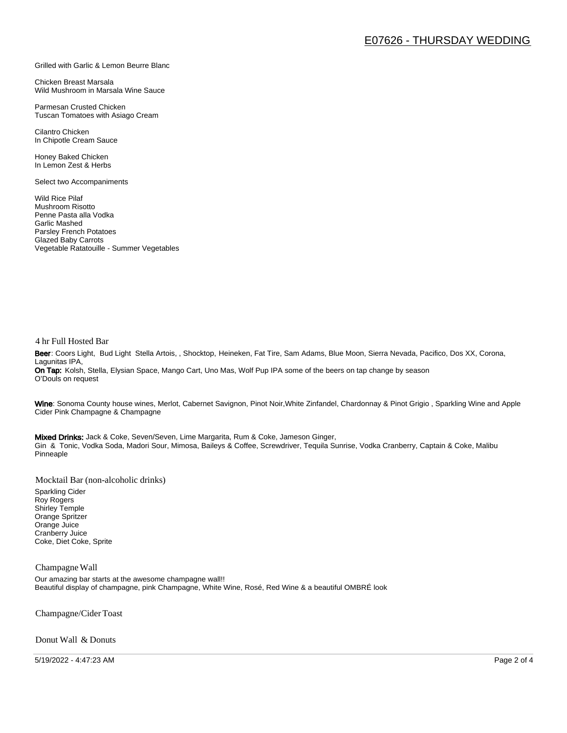#### Grilled with Garlic & Lemon Beurre Blanc

Chicken Breast Marsala Wild Mushroom in Marsala Wine Sauce

Parmesan Crusted Chicken Tuscan Tomatoes with Asiago Cream

Cilantro Chicken In Chipotle Cream Sauce

Honey Baked Chicken In Lemon Zest & Herbs

Select two Accompaniments

Wild Rice Pilaf Mushroom Risotto Penne Pasta alla Vodka Garlic Mashed Parsley French Potatoes Glazed Baby Carrots Vegetable Ratatouille - Summer Vegetables

#### 4 hr Full Hosted Bar

Beer: Coors Light, Bud Light Stella Artois, , Shocktop, Heineken, Fat Tire, Sam Adams, Blue Moon, Sierra Nevada, Pacifico, Dos XX, Corona, Lagunitas IPA, On Tap: Kolsh, Stella, Elysian Space, Mango Cart, Uno Mas, Wolf Pup IPA some of the beers on tap change by season O'Douls on request

Wine: Sonoma County house wines, Merlot, Cabernet Savignon, Pinot Noir, White Zinfandel, Chardonnay & Pinot Grigio, Sparkling Wine and Apple Cider Pink Champagne & Champagne

Mixed Drinks: Jack & Coke, Seven/Seven, Lime Margarita, Rum & Coke, Jameson Ginger, Gin & Tonic, Vodka Soda, Madori Sour, Mimosa, Baileys & Coffee, Screwdriver, Tequila Sunrise, Vodka Cranberry, Captain & Coke, Malibu Pinneaple

Mocktail Bar (non-alcoholic drinks)

Sparkling Cider Roy Rogers Shirley Temple Orange Spritzer Orange Juice Cranberry Juice Coke, Diet Coke, Sprite

#### Champagne Wall

Our amazing bar starts at the awesome champagne wall!! Beautiful display of champagne, pink Champagne, White Wine, Rosé, Red Wine & a beautiful OMBRÉ look

Champagne/Cider Toast

Donut Wall & Donuts

5/19/2022 - 4:47:23 AM Page 2 of 4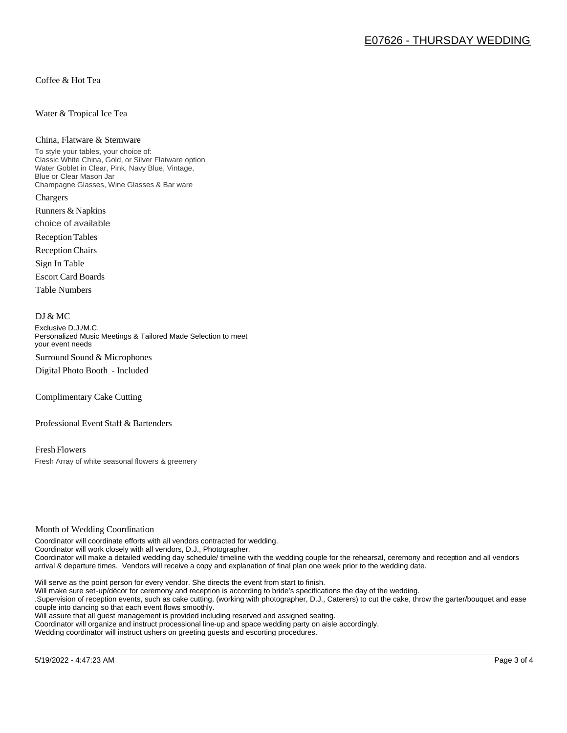Coffee & Hot Tea

#### Water & Tropical Ice Tea

#### China, Flatware & Stemware

To style your tables, your choice of: Classic White China, Gold, or Silver Flatware option Water Goblet in Clear, Pink, Navy Blue, Vintage, Blue or Clear Mason Jar Champagne Glasses, Wine Glasses & Bar ware Chargers

Runners & Napkins choice of available

Reception Tables

Reception Chairs

Sign In Table

Escort Card Boards

Table Numbers

#### DJ & MC

Exclusive D.J./M.C. Personalized Music Meetings & Tailored Made Selection to meet your event needs Surround Sound & Microphones

Digital Photo Booth - Included

Complimentary Cake Cutting

Professional Event Staff & Bartenders

Fresh Flowers Fresh Array of white seasonal flowers & greenery

#### Month of Wedding Coordination

Coordinator will coordinate efforts with all vendors contracted for wedding. Coordinator will work closely with all vendors, D.J., Photographer, Coordinator will make a detailed wedding day schedule/ timeline with the wedding couple for the rehearsal, ceremony and reception and all vendors arrival & departure times. Vendors will receive a copy and explanation of final plan one week prior to the wedding date.

Will serve as the point person for every vendor. She directs the event from start to finish.

Will make sure set-up/décor for ceremony and reception is according to bride's specifications the day of the wedding.

.Supervision of reception events, such as cake cutting, (working with photographer, D.J., Caterers) to cut the cake, throw the garter/bouquet and ease couple into dancing so that each event flows smoothly.

Will assure that all guest management is provided including reserved and assigned seating.

Coordinator will organize and instruct processional line-up and space wedding party on aisle accordingly.

Wedding coordinator will instruct ushers on greeting guests and escorting procedures.